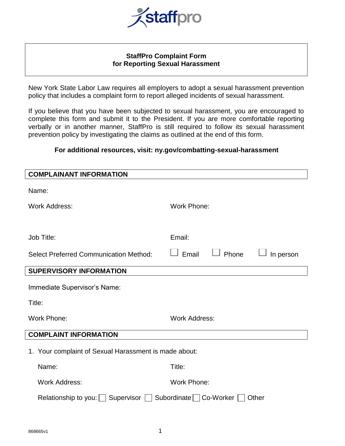

## **StaffPro Complaint Form for Reporting Sexual Harassment**

New York State Labor Law requires all employers to adopt a sexual harassment prevention policy that includes a complaint form to report alleged incidents of sexual harassment.

If you believe that you have been subjected to sexual harassment, you are encouraged to complete this form and submit it to the President. If you are more comfortable reporting verbally or in another manner, StaffPro is still required to follow its sexual harassment prevention policy by investigating the claims as outlined at the end of this form.

## **For additional resources, visit: ny.gov/combatting-sexual-harassment**

| <b>COMPLAINANT INFORMATION</b>                                         |                             |  |
|------------------------------------------------------------------------|-----------------------------|--|
| Name:                                                                  |                             |  |
| <b>Work Address:</b>                                                   | <b>Work Phone:</b>          |  |
|                                                                        |                             |  |
| Job Title:                                                             | Email:                      |  |
| <b>Select Preferred Communication Method:</b>                          | Phone<br>Email<br>In person |  |
| <b>SUPERVISORY INFORMATION</b>                                         |                             |  |
| Immediate Supervisor's Name:                                           |                             |  |
| Title:                                                                 |                             |  |
| <b>Work Phone:</b>                                                     | <b>Work Address:</b>        |  |
| <b>COMPLAINT INFORMATION</b>                                           |                             |  |
| 1. Your complaint of Sexual Harassment is made about:                  |                             |  |
| Name:                                                                  | Title:                      |  |
| <b>Work Address:</b>                                                   | <b>Work Phone:</b>          |  |
| Relationship to you:   Supervisor   Subordinate   Co-Worker  <br>Other |                             |  |
|                                                                        |                             |  |